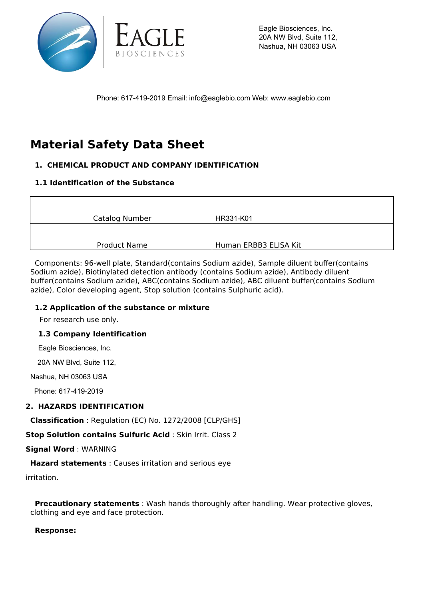

Eagle Biosciences, Inc. 20A NW Blvd, Suite 112, Nashua, NH 03063 USA

Phone: 617-419-2019 Email: info@eaglebio.com Web: www.eaglebio.com

# **Material Safety Data Sheet**

# **1. CHEMICAL PRODUCT AND COMPANY IDENTIFICATION**

# **1.1 Identification of the Substance**

| Catalog Number      | HR331-K01             |
|---------------------|-----------------------|
|                     |                       |
|                     |                       |
| <b>Product Name</b> | Human ERBB3 ELISA Kit |

 Components: 96-well plate, Standard(contains Sodium azide), Sample diluent buffer(contains Sodium azide), Biotinylated detection antibody (contains Sodium azide), Antibody diluent buffer(contains Sodium azide), ABC(contains Sodium azide), ABC diluent buffer(contains Sodium azide), Color developing agent, Stop solution (contains Sulphuric acid).

#### **1.2 Application of the substance or mixture**

For research use only.

#### **1.3 Company Identification**

Eagle Biosciences, Inc.

20A NW Blvd, Suite 112,

Nashua, NH 03063 USA

Phone: 617-419-2019

#### **2. HAZARDS IDENTIFICATION**

**Classification** : Regulation (EC) No. 1272/2008 [CLP/GHS]

**Stop Solution contains Sulfuric Acid** : Skin Irrit. Class 2

**Signal Word** : WARNING

**Hazard statements** : Causes irritation and serious eye

irritation.

 **Precautionary statements** : Wash hands thoroughly after handling. Wear protective gloves, clothing and eye and face protection.

#### **Response:**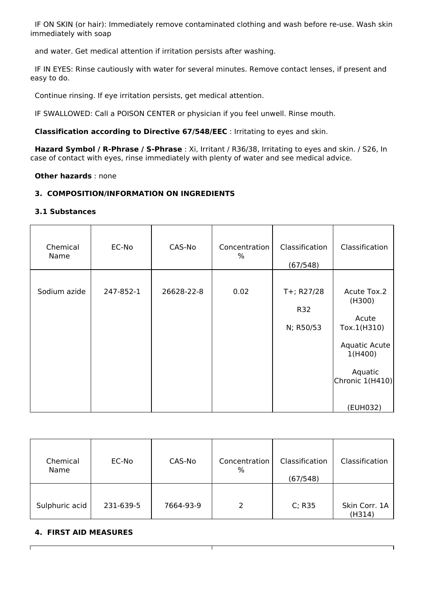IF ON SKIN (or hair): Immediately remove contaminated clothing and wash before re-use. Wash skin immediately with soap

and water. Get medical attention if irritation persists after washing.

 IF IN EYES: Rinse cautiously with water for several minutes. Remove contact lenses, if present and easy to do.

Continue rinsing. If eye irritation persists, get medical attention.

IF SWALLOWED: Call a POISON CENTER or physician if you feel unwell. Rinse mouth.

**Classification according to Directive 67/548/EEC** : Irritating to eyes and skin.

 **Hazard Symbol / R-Phrase / S-Phrase** : Xi, Irritant / R36/38, Irritating to eyes and skin. / S26, In case of contact with eyes, rinse immediately with plenty of water and see medical advice.

**Other hazards** : none

#### **3. COMPOSITION/INFORMATION ON INGREDIENTS**

#### **3.1 Substances**

| Chemical<br>Name | EC-No     | CAS-No     | Concentration<br>% | Classification<br>(67/548)     | Classification                                                                                                      |
|------------------|-----------|------------|--------------------|--------------------------------|---------------------------------------------------------------------------------------------------------------------|
| Sodium azide     | 247-852-1 | 26628-22-8 | 0.02               | T+; R27/28<br>R32<br>N; R50/53 | Acute Tox.2<br>(H300)<br>Acute<br>Tox.1(H310)<br>Aquatic Acute<br>1(H400)<br>Aquatic<br>Chronic 1(H410)<br>(EUH032) |

| Chemical<br>Name | EC-No     | CAS-No    | Concentration<br>$\%$ | Classification<br>(67/548) | Classification          |
|------------------|-----------|-----------|-----------------------|----------------------------|-------------------------|
| Sulphuric acid   | 231-639-5 | 7664-93-9 | $\mathcal{P}$         | C; R35                     | Skin Corr. 1A<br>(H314) |

T

٦

#### **4. FIRST AID MEASURES**

 $\mathsf{r}$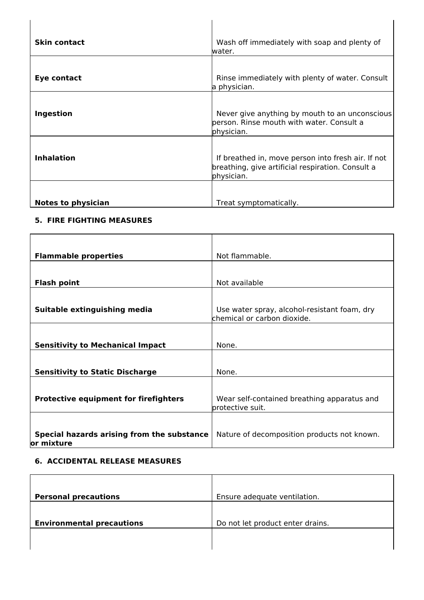| <b>Skin contact</b>       | Wash off immediately with soap and plenty of<br>water.                                                                |
|---------------------------|-----------------------------------------------------------------------------------------------------------------------|
| Eye contact               | Rinse immediately with plenty of water. Consult                                                                       |
| Ingestion                 | a physician.<br>Never give anything by mouth to an unconscious                                                        |
|                           | person. Rinse mouth with water. Consult a<br>physician.                                                               |
| <b>Inhalation</b>         | If breathed in, move person into fresh air. If not<br>breathing, give artificial respiration. Consult a<br>physician. |
| <b>Notes to physician</b> | Treat symptomatically.                                                                                                |

#### **5. FIRE FIGHTING MEASURES**

| <b>Flammable properties</b>                              | Not flammable.                                                              |
|----------------------------------------------------------|-----------------------------------------------------------------------------|
|                                                          |                                                                             |
| <b>Flash point</b>                                       | Not available                                                               |
|                                                          |                                                                             |
| Suitable extinguishing media                             | Use water spray, alcohol-resistant foam, dry<br>chemical or carbon dioxide. |
|                                                          |                                                                             |
| <b>Sensitivity to Mechanical Impact</b>                  | None.                                                                       |
|                                                          |                                                                             |
| <b>Sensitivity to Static Discharge</b>                   | None.                                                                       |
|                                                          |                                                                             |
| <b>Protective equipment for firefighters</b>             | Wear self-contained breathing apparatus and<br>protective suit.             |
|                                                          |                                                                             |
| Special hazards arising from the substance<br>or mixture | Nature of decomposition products not known.                                 |

# **6. ACCIDENTAL RELEASE MEASURES**

| <b>Personal precautions</b>      | Ensure adequate ventilation.     |
|----------------------------------|----------------------------------|
| <b>Environmental precautions</b> | Do not let product enter drains. |
|                                  |                                  |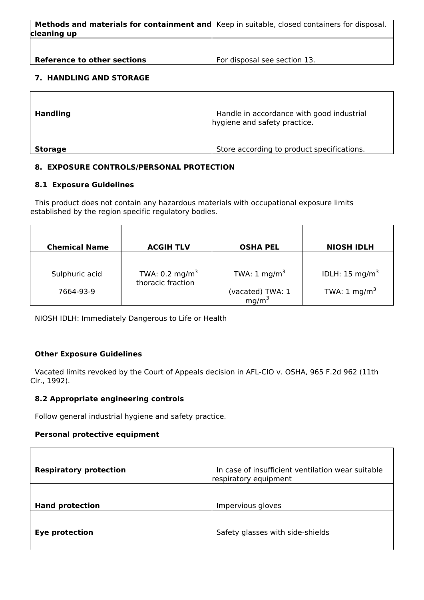For disposal see section 13.

## **7. HANDLING AND STORAGE**

**Reference to other sections**

| <b>Handling</b> | Handle in accordance with good industrial<br>hygiene and safety practice. |
|-----------------|---------------------------------------------------------------------------|
| <b>Storage</b>  | Store according to product specifications.                                |

# **8. EXPOSURE CONTROLS/PERSONAL PROTECTION**

#### **8.1 Exposure Guidelines**

 This product does not contain any hazardous materials with occupational exposure limits established by the region specific regulatory bodies.

| <b>Chemical Name</b> | <b>ACGIH TLV</b>                                | <b>OSHA PEL</b>                   | <b>NIOSH IDLH</b>          |
|----------------------|-------------------------------------------------|-----------------------------------|----------------------------|
| Sulphuric acid       | TWA: 0.2 mg/m <sup>3</sup><br>thoracic fraction | TWA: $1 \text{ mg/m}^3$           | IDLH: 15 mg/m <sup>3</sup> |
| 7664-93-9            |                                                 | (vacated) TWA: $1 \text{ mg/m}^3$ | TWA: $1 \text{ mg/m}^3$    |

NIOSH IDLH: Immediately Dangerous to Life or Health

#### **Other Exposure Guidelines**

 Vacated limits revoked by the Court of Appeals decision in AFL-CIO v. OSHA, 965 F.2d 962 (11th Cir., 1992).

#### **8.2 Appropriate engineering controls**

Follow general industrial hygiene and safety practice.

#### **Personal protective equipment**

| <b>Respiratory protection</b> | In case of insufficient ventilation wear suitable<br>respiratory equipment |
|-------------------------------|----------------------------------------------------------------------------|
| <b>Hand protection</b>        | Impervious gloves                                                          |
| <b>Eye protection</b>         | Safety glasses with side-shields                                           |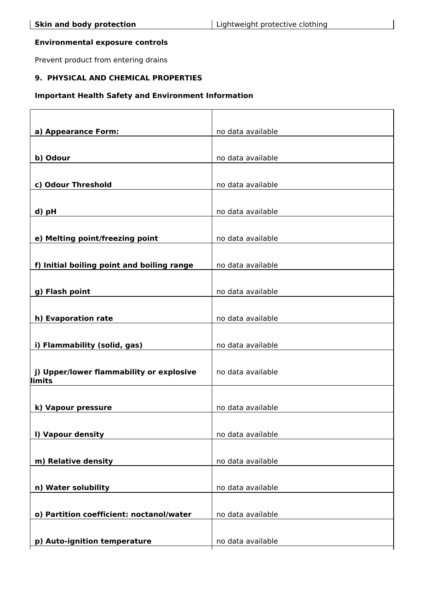#### **Environmental exposure controls**

Prevent product from entering drains

# **9. PHYSICAL AND CHEMICAL PROPERTIES**

# **Important Health Safety and Environment Information**

| a) Appearance Form:                        | no data available |
|--------------------------------------------|-------------------|
|                                            |                   |
| b) Odour                                   | no data available |
|                                            |                   |
| c) Odour Threshold                         | no data available |
|                                            |                   |
| d) pH                                      | no data available |
|                                            |                   |
| e) Melting point/freezing point            | no data available |
|                                            |                   |
| f) Initial boiling point and boiling range | no data available |
|                                            |                   |
| g) Flash point                             | no data available |
|                                            |                   |
| h) Evaporation rate                        | no data available |
|                                            |                   |
| i) Flammability (solid, gas)               | no data available |
|                                            |                   |
| j) Upper/lower flammability or explosive   | no data available |
| limits                                     |                   |
|                                            |                   |
| k) Vapour pressure                         | no data available |
|                                            |                   |
| I) Vapour density                          | no data available |
|                                            |                   |
| m) Relative density                        | no data available |
|                                            |                   |
| n) Water solubility                        | no data available |
|                                            |                   |
| o) Partition coefficient: noctanol/water   | no data available |
|                                            |                   |
| p) Auto-ignition temperature               | no data available |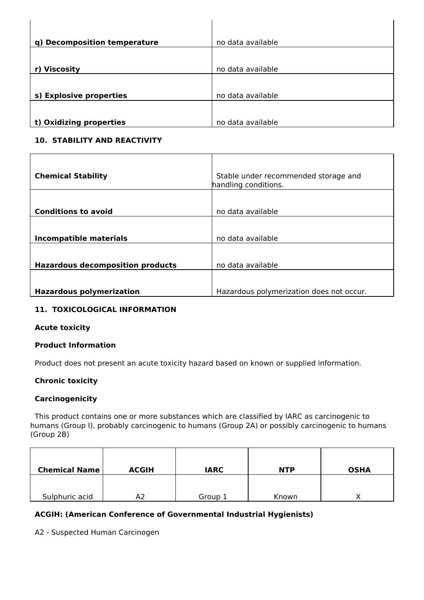| q) Decomposition temperature | no data available |
|------------------------------|-------------------|
|                              |                   |
| r) Viscosity                 | no data available |
|                              |                   |
| s) Explosive properties      | no data available |
|                              |                   |
| t) Oxidizing properties      | no data available |

# **10. STABILITY AND REACTIVITY**

| <b>Chemical Stability</b>               | Stable under recommended storage and<br>handling conditions. |
|-----------------------------------------|--------------------------------------------------------------|
|                                         |                                                              |
| <b>Conditions to avoid</b>              | no data available                                            |
|                                         |                                                              |
| Incompatible materials                  | no data available                                            |
|                                         |                                                              |
| <b>Hazardous decomposition products</b> | no data available                                            |
|                                         |                                                              |
| <b>Hazardous polymerization</b>         | Hazardous polymerization does not occur.                     |

# **11. TOXICOLOGICAL INFORMATION**

#### **Acute toxicity**

#### **Product Information**

Product does not present an acute toxicity hazard based on known or supplied information.

#### **Chronic toxicity**

#### **Carcinogenicity**

 This product contains one or more substances which are classified by IARC as carcinogenic to humans (Group I), probably carcinogenic to humans (Group 2A) or possibly carcinogenic to humans (Group 2B)

| <b>Chemical Name</b> | <b>ACGIH</b> | <b>IARC</b> | <b>NTP</b> | <b>OSHA</b> |
|----------------------|--------------|-------------|------------|-------------|
| Sulphuric acid       | A2           | Group 1     | Known      |             |

# **ACGIH: (American Conference of Governmental Industrial Hygienists)**

A2 - Suspected Human Carcinogen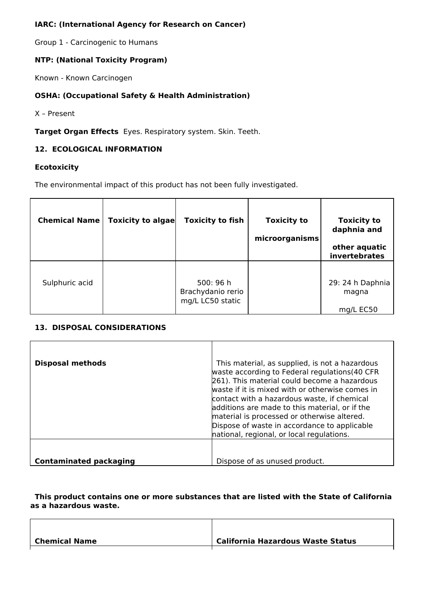# **IARC: (International Agency for Research on Cancer)**

Group 1 - Carcinogenic to Humans

# **NTP: (National Toxicity Program)**

Known - Known Carcinogen

# **OSHA: (Occupational Safety & Health Administration)**

X – Present

**Target Organ Effects** Eyes. Respiratory system. Skin. Teeth.

#### **12. ECOLOGICAL INFORMATION**

#### **Ecotoxicity**

The environmental impact of this product has not been fully investigated.

| <b>Chemical Name</b> | <b>Toxicity to algae</b> | <b>Toxicity to fish</b>                            | <b>Toxicity to</b><br>microorganisms | <b>Toxicity to</b><br>daphnia and<br>other aquatic<br>invertebrates |
|----------------------|--------------------------|----------------------------------------------------|--------------------------------------|---------------------------------------------------------------------|
| Sulphuric acid       |                          | 500: 96 h<br>Brachydanio rerio<br>mg/L LC50 static |                                      | 29: 24 h Daphnia<br>magna<br>mg/L EC50                              |

## **13. DISPOSAL CONSIDERATIONS**

| <b>Disposal methods</b>       | This material, as supplied, is not a hazardous<br>waste according to Federal regulations(40 CFR<br>261). This material could become a hazardous<br>waste if it is mixed with or otherwise comes in<br>contact with a hazardous waste, if chemical<br>additions are made to this material, or if the<br>material is processed or otherwise altered.<br>Dispose of waste in accordance to applicable<br>hational, regional, or local regulations. |
|-------------------------------|-------------------------------------------------------------------------------------------------------------------------------------------------------------------------------------------------------------------------------------------------------------------------------------------------------------------------------------------------------------------------------------------------------------------------------------------------|
| <b>Contaminated packaging</b> | Dispose of as unused product.                                                                                                                                                                                                                                                                                                                                                                                                                   |

 **This product contains one or more substances that are listed with the State of California as a hazardous waste.**

| Chemical Name | California Hazardous Waste Status |
|---------------|-----------------------------------|
|               |                                   |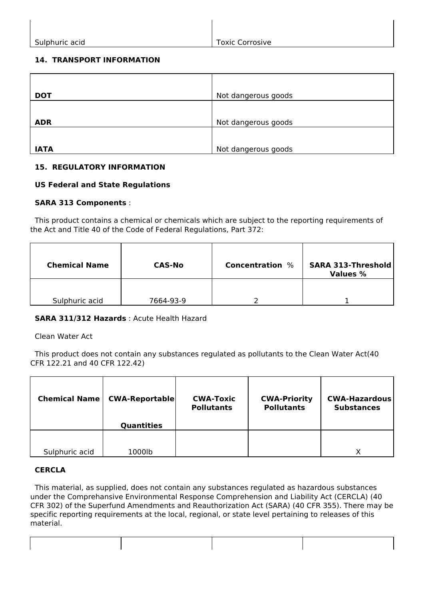$\overline{\phantom{a}}$ 

# **14. TRANSPORT INFORMATION**

 $\overline{\phantom{a}}$ 

| <b>DOT</b>  | Not dangerous goods |
|-------------|---------------------|
|             |                     |
| <b>ADR</b>  | Not dangerous goods |
|             |                     |
| <b>IATA</b> | Not dangerous goods |

# **15. REGULATORY INFORMATION**

# **US Federal and State Regulations**

# **SARA 313 Components** :

 This product contains a chemical or chemicals which are subject to the reporting requirements of the Act and Title 40 of the Code of Federal Regulations, Part 372:

| <b>Chemical Name</b> | <b>CAS-No</b> | <b>Concentration</b> % | <b>SARA 313-Threshold</b><br><b>Values %</b> |
|----------------------|---------------|------------------------|----------------------------------------------|
| Sulphuric acid       | 7664-93-9     |                        |                                              |

# **SARA 311/312 Hazards** : Acute Health Hazard

#### Clean Water Act

 This product does not contain any substances regulated as pollutants to the Clean Water Act(40 CFR 122.21 and 40 CFR 122.42)

| <b>Chemical Name</b> | <b>CWA-Reportable</b> | <b>CWA-Toxic</b><br><b>Pollutants</b> | <b>CWA-Priority</b><br><b>Pollutants</b> | <b>CWA-Hazardous</b><br><b>Substances</b> |
|----------------------|-----------------------|---------------------------------------|------------------------------------------|-------------------------------------------|
|                      | <b>Quantities</b>     |                                       |                                          |                                           |
|                      |                       |                                       |                                          |                                           |
| Sulphuric acid       | 1000lb                |                                       |                                          | χ                                         |

# **CERCLA**

 This material, as supplied, does not contain any substances regulated as hazardous substances under the Comprehansive Environmental Response Comprehension and Liability Act (CERCLA) (40 CFR 302) of the Superfund Amendments and Reauthorization Act (SARA) (40 CFR 355). There may be specific reporting requirements at the local, regional, or state level pertaining to releases of this material.